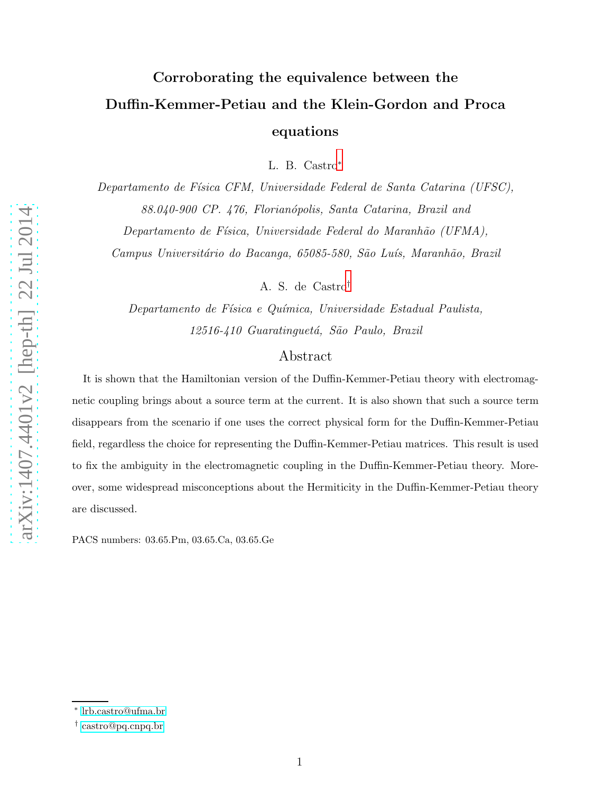# Corroborating the equivalence between the Duffin-Kemmer-Petiau and the Klein-Gordon and Proca equations

L. B. Castro [∗](#page-0-0)

Departamento de Física CFM, Universidade Federal de Santa Catarina (UFSC), 88.040-900 CP. 476, Florianópolis, Santa Catarina, Brazil and

Departamento de Física, Universidade Federal do Maranhão (UFMA),

Campus Universitário do Bacanga, 65085-580, São Luís, Maranhão, Brazil

A. S. de Castro [†](#page-0-1)

Departamento de Física e Química, Universidade Estadual Paulista, 12516-410 Guaratinguetá, São Paulo, Brazil

# Abstract

It is shown that the Hamiltonian version of the Duffin-Kemmer-Petiau theory with electromagnetic coupling brings about a source term at the current. It is also shown that such a source term disappears from the scenario if one uses the correct physical form for the Duffin-Kemmer-Petiau field, regardless the choice for representing the Duffin-Kemmer-Petiau matrices. This result is used to fix the ambiguity in the electromagnetic coupling in the Duffin-Kemmer-Petiau theory. Moreover, some widespread misconceptions about the Hermiticity in the Duffin-Kemmer-Petiau theory are discussed.

PACS numbers: 03.65.Pm, 03.65.Ca, 03.65.Ge

<span id="page-0-1"></span><span id="page-0-0"></span><sup>∗</sup> [lrb.castro@ufma.br](mailto:lrb.castro@ufma.br)

<sup>†</sup> [castro@pq.cnpq.br](mailto:castro@pq.cnpq.br)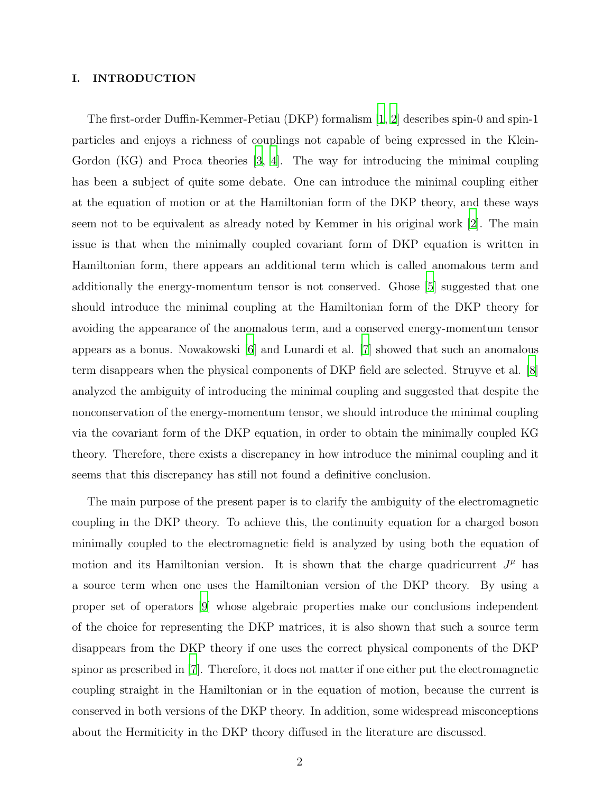# I. INTRODUCTION

The first-order Duffin-Kemmer-Petiau (DKP) formalism [\[1](#page-12-0), [2](#page-12-1)] describes spin-0 and spin-1 particles and enjoys a richness of couplings not capable of being expressed in the Klein-Gordon (KG) and Proca theories [\[3,](#page-12-2) [4](#page-12-3)]. The way for introducing the minimal coupling has been a subject of quite some debate. One can introduce the minimal coupling either at the equation of motion or at the Hamiltonian form of the DKP theory, and these ways seem not to be equivalent as already noted by Kemmer in his original work [\[2\]](#page-12-1). The main issue is that when the minimally coupled covariant form of DKP equation is written in Hamiltonian form, there appears an additional term which is called anomalous term and additionally the energy-momentum tensor is not conserved. Ghose [\[5](#page-12-4)] suggested that one should introduce the minimal coupling at the Hamiltonian form of the DKP theory for avoiding the appearance of the anomalous term, and a conserved energy-momentum tensor appears as a bonus. Nowakowski [\[6](#page-12-5)] and Lunardi et al. [\[7](#page-12-6)] showed that such an anomalous term disappears when the physical components of DKP field are selected. Struyve et al. [\[8\]](#page-12-7) analyzed the ambiguity of introducing the minimal coupling and suggested that despite the nonconservation of the energy-momentum tensor, we should introduce the minimal coupling via the covariant form of the DKP equation, in order to obtain the minimally coupled KG theory. Therefore, there exists a discrepancy in how introduce the minimal coupling and it seems that this discrepancy has still not found a definitive conclusion.

The main purpose of the present paper is to clarify the ambiguity of the electromagnetic coupling in the DKP theory. To achieve this, the continuity equation for a charged boson minimally coupled to the electromagnetic field is analyzed by using both the equation of motion and its Hamiltonian version. It is shown that the charge quadricurrent  $J^{\mu}$  has a source term when one uses the Hamiltonian version of the DKP theory. By using a proper set of operators [\[9](#page-12-8)] whose algebraic properties make our conclusions independent of the choice for representing the DKP matrices, it is also shown that such a source term disappears from the DKP theory if one uses the correct physical components of the DKP spinor as prescribed in [\[7\]](#page-12-6). Therefore, it does not matter if one either put the electromagnetic coupling straight in the Hamiltonian or in the equation of motion, because the current is conserved in both versions of the DKP theory. In addition, some widespread misconceptions about the Hermiticity in the DKP theory diffused in the literature are discussed.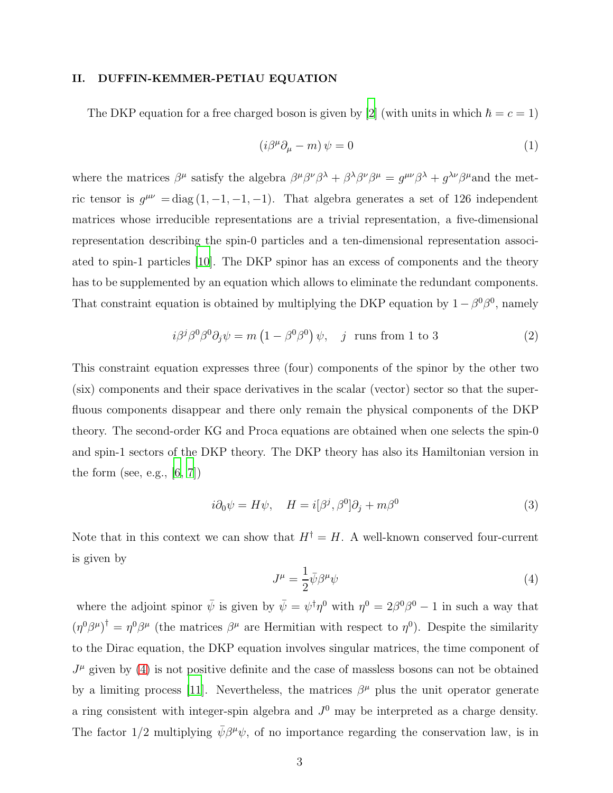# II. DUFFIN-KEMMER-PETIAU EQUATION

The DKP equation for a free charged boson is given by [\[2](#page-12-1)] (with units in which  $\hbar = c = 1$ )

$$
(i\beta^{\mu}\partial_{\mu} - m)\,\psi = 0\tag{1}
$$

where the matrices  $\beta^{\mu}$  satisfy the algebra  $\beta^{\mu}\beta^{\nu}\beta^{\lambda} + \beta^{\lambda}\beta^{\nu}\beta^{\mu} = g^{\mu\nu}\beta^{\lambda} + g^{\lambda\nu}\beta^{\mu}$  and the metric tensor is  $g^{\mu\nu} = \text{diag}(1, -1, -1, -1)$ . That algebra generates a set of 126 independent matrices whose irreducible representations are a trivial representation, a five-dimensional representation describing the spin-0 particles and a ten-dimensional representation associated to spin-1 particles [\[10\]](#page-12-9). The DKP spinor has an excess of components and the theory has to be supplemented by an equation which allows to eliminate the redundant components. That constraint equation is obtained by multiplying the DKP equation by  $1 - \beta^0 \beta^0$ , namely

<span id="page-2-1"></span>
$$
i\beta^j\beta^0\beta^0\partial_j\psi = m\left(1 - \beta^0\beta^0\right)\psi, \quad j \text{ runs from 1 to 3}
$$
 (2)

This constraint equation expresses three (four) components of the spinor by the other two (six) components and their space derivatives in the scalar (vector) sector so that the superfluous components disappear and there only remain the physical components of the DKP theory. The second-order KG and Proca equations are obtained when one selects the spin-0 and spin-1 sectors of the DKP theory. The DKP theory has also its Hamiltonian version in the form (see, e.g.,  $[6, 7]$  $[6, 7]$  $[6, 7]$ )

$$
i\partial_0 \psi = H\psi, \quad H = i[\beta^j, \beta^0] \partial_j + m\beta^0 \tag{3}
$$

Note that in this context we can show that  $H^{\dagger} = H$ . A well-known conserved four-current is given by

<span id="page-2-0"></span>
$$
J^{\mu} = \frac{1}{2} \bar{\psi} \beta^{\mu} \psi \tag{4}
$$

where the adjoint spinor  $\bar{\psi}$  is given by  $\bar{\psi} = \psi^{\dagger} \eta^0$  with  $\eta^0 = 2\beta^0 \beta^0 - 1$  in such a way that  $(\eta^0 \beta^\mu)^\dagger = \eta^0 \beta^\mu$  (the matrices  $\beta^\mu$  are Hermitian with respect to  $\eta^0$ ). Despite the similarity to the Dirac equation, the DKP equation involves singular matrices, the time component of  $J^{\mu}$  given by [\(4\)](#page-2-0) is not positive definite and the case of massless bosons can not be obtained by a limiting process [\[11](#page-12-10)]. Nevertheless, the matrices  $\beta^{\mu}$  plus the unit operator generate a ring consistent with integer-spin algebra and  $J^0$  may be interpreted as a charge density. The factor  $1/2$  multiplying  $\bar{\psi} \beta^{\mu} \psi$ , of no importance regarding the conservation law, is in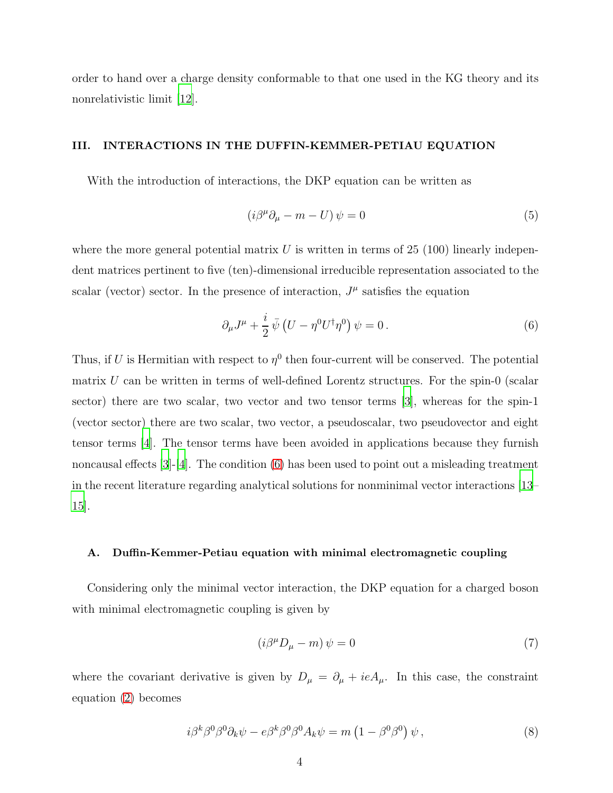order to hand over a charge density conformable to that one used in the KG theory and its nonrelativistic limit [\[12](#page-12-11)].

# III. INTERACTIONS IN THE DUFFIN-KEMMER-PETIAU EQUATION

With the introduction of interactions, the DKP equation can be written as

$$
(i\beta^{\mu}\partial_{\mu} - m - U)\psi = 0\tag{5}
$$

where the more general potential matrix  $U$  is written in terms of 25 (100) linearly independent matrices pertinent to five (ten)-dimensional irreducible representation associated to the scalar (vector) sector. In the presence of interaction,  $J^{\mu}$  satisfies the equation

<span id="page-3-0"></span>
$$
\partial_{\mu}J^{\mu} + \frac{i}{2}\bar{\psi}\left(U - \eta^{0}U^{\dagger}\eta^{0}\right)\psi = 0.
$$
\n(6)

Thus, if U is Hermitian with respect to  $\eta^0$  then four-current will be conserved. The potential matrix  $U$  can be written in terms of well-defined Lorentz structures. For the spin-0 (scalar sector) there are two scalar, two vector and two tensor terms [\[3](#page-12-2)], whereas for the spin-1 (vector sector) there are two scalar, two vector, a pseudoscalar, two pseudovector and eight tensor terms [\[4\]](#page-12-3). The tensor terms have been avoided in applications because they furnish noncausal effects  $[3]-[4]$  $[3]-[4]$ . The condition  $(6)$  has been used to point out a misleading treatment in the recent literature regarding analytical solutions for nonminimal vector interactions [\[13](#page-12-12)– [15\]](#page-12-13).

#### A. Duffin-Kemmer-Petiau equation with minimal electromagnetic coupling

Considering only the minimal vector interaction, the DKP equation for a charged boson with minimal electromagnetic coupling is given by

<span id="page-3-1"></span>
$$
\left(i\beta^{\mu}D_{\mu}-m\right)\psi=0\tag{7}
$$

where the covariant derivative is given by  $D_{\mu} = \partial_{\mu} + ieA_{\mu}$ . In this case, the constraint equation [\(2\)](#page-2-1) becomes

$$
i\beta^{k}\beta^{0}\beta^{0}\partial_{k}\psi - e\beta^{k}\beta^{0}\beta^{0}A_{k}\psi = m\left(1 - \beta^{0}\beta^{0}\right)\psi,
$$
\n(8)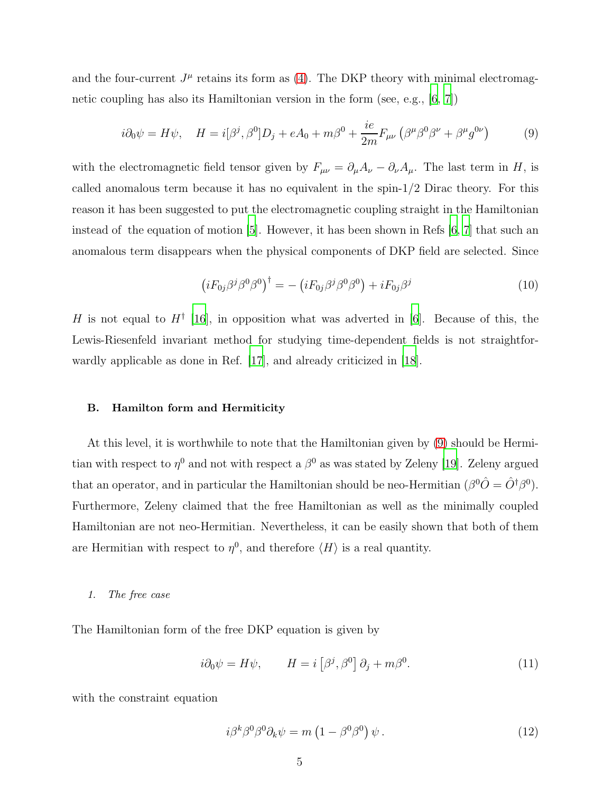and the four-current  $J^{\mu}$  retains its form as [\(4\)](#page-2-0). The DKP theory with minimal electromagnetic coupling has also its Hamiltonian version in the form (see, e.g., [\[6](#page-12-5), [7](#page-12-6)])

<span id="page-4-0"></span>
$$
i\partial_0 \psi = H\psi, \quad H = i[\beta^j, \beta^0]D_j + eA_0 + m\beta^0 + \frac{ie}{2m}F_{\mu\nu}\left(\beta^\mu\beta^0\beta^\nu + \beta^\mu g^{0\nu}\right) \tag{9}
$$

with the electromagnetic field tensor given by  $F_{\mu\nu} = \partial_{\mu}A_{\nu} - \partial_{\nu}A_{\mu}$ . The last term in H, is called anomalous term because it has no equivalent in the spin-1/2 Dirac theory. For this reason it has been suggested to put the electromagnetic coupling straight in the Hamiltonian instead of the equation of motion [\[5\]](#page-12-4). However, it has been shown in Refs [\[6,](#page-12-5) [7\]](#page-12-6) that such an anomalous term disappears when the physical components of DKP field are selected. Since

$$
\left(iF_{0j}\beta^j\beta^0\beta^0\right)^{\dagger} = -\left(iF_{0j}\beta^j\beta^0\beta^0\right) + iF_{0j}\beta^j\tag{10}
$$

H is not equal to  $H^{\dagger}$  [\[16\]](#page-12-14), in opposition what was adverted in [\[6](#page-12-5)]. Because of this, the Lewis-Riesenfeld invariant method for studying time-dependent fields is not straightfor-wardly applicable as done in Ref. [\[17](#page-12-15)], and already criticized in [\[18\]](#page-12-16).

# B. Hamilton form and Hermiticity

At this level, it is worthwhile to note that the Hamiltonian given by [\(9\)](#page-4-0) should be Hermitian with respect to  $\eta^0$  and not with respect a  $\beta^0$  as was stated by Zeleny [\[19](#page-12-17)]. Zeleny argued that an operator, and in particular the Hamiltonian should be neo-Hermitian  $(\beta^0 \hat{O} = \hat{O}^{\dagger} \beta^0)$ . Furthermore, Zeleny claimed that the free Hamiltonian as well as the minimally coupled Hamiltonian are not neo-Hermitian. Nevertheless, it can be easily shown that both of them are Hermitian with respect to  $\eta^0$ , and therefore  $\langle H \rangle$  is a real quantity.

1. The free case

The Hamiltonian form of the free DKP equation is given by

<span id="page-4-1"></span>
$$
i\partial_0 \psi = H\psi, \qquad H = i\left[\beta^j, \beta^0\right] \partial_j + m\beta^0. \tag{11}
$$

with the constraint equation

<span id="page-4-2"></span>
$$
i\beta^{k}\beta^{0}\beta^{0}\partial_{k}\psi = m\left(1 - \beta^{0}\beta^{0}\right)\psi.
$$
 (12)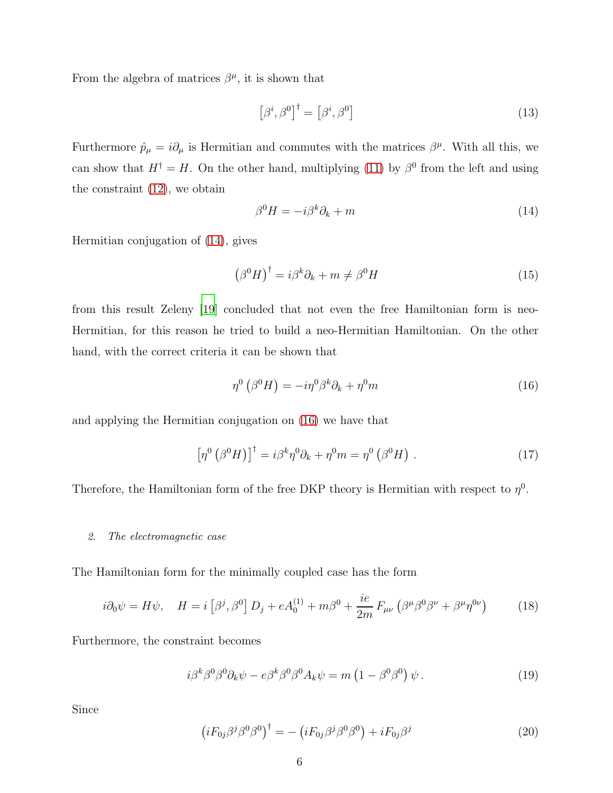From the algebra of matrices  $\beta^{\mu}$ , it is shown that

$$
\left[\beta^i, \beta^0\right]^\dagger = \left[\beta^i, \beta^0\right] \tag{13}
$$

Furthermore  $\hat{p}_{\mu} = i \partial_{\mu}$  is Hermitian and commutes with the matrices  $\beta^{\mu}$ . With all this, we can show that  $H^{\dagger} = H$ . On the other hand, multiplying [\(11\)](#page-4-1) by  $\beta^0$  from the left and using the constraint [\(12\)](#page-4-2), we obtain

<span id="page-5-0"></span>
$$
\beta^0 H = -i\beta^k \partial_k + m \tag{14}
$$

Hermitian conjugation of [\(14\)](#page-5-0), gives

$$
\left(\beta^{0}H\right)^{\dagger} = i\beta^{k}\partial_{k} + m \neq \beta^{0}H\tag{15}
$$

from this result Zeleny [\[19](#page-12-17)] concluded that not even the free Hamiltonian form is neo-Hermitian, for this reason he tried to build a neo-Hermitian Hamiltonian. On the other hand, with the correct criteria it can be shown that

<span id="page-5-1"></span>
$$
\eta^0\left(\beta^0 H\right) = -i\eta^0 \beta^k \partial_k + \eta^0 m \tag{16}
$$

and applying the Hermitian conjugation on [\(16\)](#page-5-1) we have that

$$
\left[\eta^{0}\left(\beta^{0}H\right)\right]^{\dagger} = i\beta^{k}\eta^{0}\partial_{k} + \eta^{0}m = \eta^{0}\left(\beta^{0}H\right). \tag{17}
$$

Therefore, the Hamiltonian form of the free DKP theory is Hermitian with respect to  $\eta^0$ .

#### 2. The electromagnetic case

The Hamiltonian form for the minimally coupled case has the form

<span id="page-5-2"></span>
$$
i\partial_0 \psi = H\psi, \quad H = i \left[ \beta^j, \beta^0 \right] D_j + e A_0^{(1)} + m \beta^0 + \frac{ie}{2m} F_{\mu\nu} \left( \beta^\mu \beta^0 \beta^\nu + \beta^\mu \eta^{0\nu} \right) \tag{18}
$$

Furthermore, the constraint becomes

<span id="page-5-3"></span>
$$
i\beta^{k}\beta^{0}\beta^{0}\partial_{k}\psi - e\beta^{k}\beta^{0}\beta^{0}A_{k}\psi = m\left(1 - \beta^{0}\beta^{0}\right)\psi.
$$
 (19)

Since

$$
\left(iF_{0j}\beta^j\beta^0\beta^0\right)^\dagger = -\left(iF_{0j}\beta^j\beta^0\beta^0\right) + iF_{0j}\beta^j\tag{20}
$$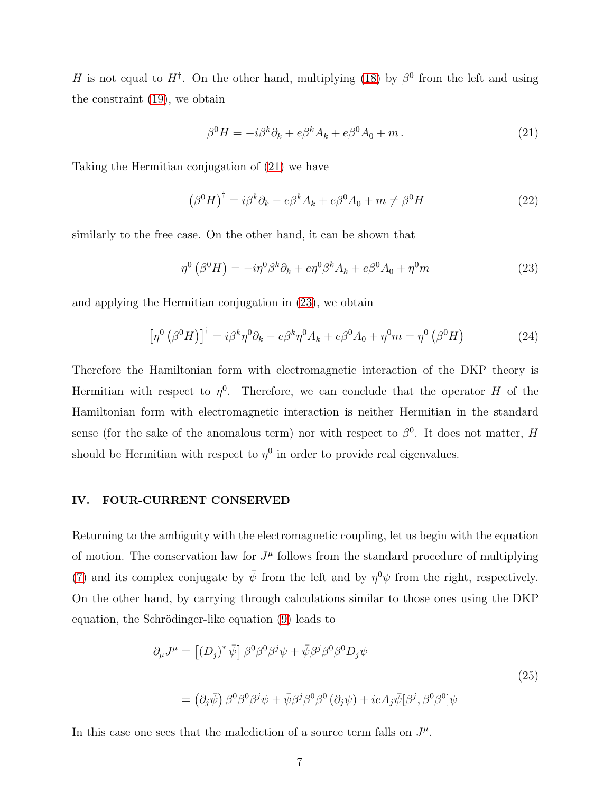H is not equal to  $H^{\dagger}$ . On the other hand, multiplying [\(18\)](#page-5-2) by  $\beta^0$  from the left and using the constraint [\(19\)](#page-5-3), we obtain

<span id="page-6-0"></span>
$$
\beta^0 H = -i\beta^k \partial_k + e\beta^k A_k + e\beta^0 A_0 + m. \tag{21}
$$

Taking the Hermitian conjugation of [\(21\)](#page-6-0) we have

$$
(\beta^0 H)^{\dagger} = i\beta^k \partial_k - e\beta^k A_k + e\beta^0 A_0 + m \neq \beta^0 H \tag{22}
$$

similarly to the free case. On the other hand, it can be shown that

<span id="page-6-1"></span>
$$
\eta^0\left(\beta^0 H\right) = -i\eta^0 \beta^k \partial_k + e\eta^0 \beta^k A_k + e\beta^0 A_0 + \eta^0 m \tag{23}
$$

and applying the Hermitian conjugation in [\(23\)](#page-6-1), we obtain

$$
\left[\eta^{0}\left(\beta^{0}H\right)\right]^{\dagger} = i\beta^{k}\eta^{0}\partial_{k} - e\beta^{k}\eta^{0}A_{k} + e\beta^{0}A_{0} + \eta^{0}m = \eta^{0}\left(\beta^{0}H\right)
$$
\n(24)

Therefore the Hamiltonian form with electromagnetic interaction of the DKP theory is Hermitian with respect to  $\eta^0$ . Therefore, we can conclude that the operator H of the Hamiltonian form with electromagnetic interaction is neither Hermitian in the standard sense (for the sake of the anomalous term) nor with respect to  $\beta^0$ . It does not matter, H should be Hermitian with respect to  $\eta^0$  in order to provide real eigenvalues.

# IV. FOUR-CURRENT CONSERVED

Returning to the ambiguity with the electromagnetic coupling, let us begin with the equation of motion. The conservation law for  $J^{\mu}$  follows from the standard procedure of multiplying [\(7\)](#page-3-1) and its complex conjugate by  $\bar{\psi}$  from the left and by  $\eta^0 \psi$  from the right, respectively. On the other hand, by carrying through calculations similar to those ones using the DKP equation, the Schrödinger-like equation  $(9)$  leads to

<span id="page-6-2"></span>
$$
\partial_{\mu}J^{\mu} = \left[ (D_j)^{*} \bar{\psi} \right] \beta^{0} \beta^{0} \beta^{j} \psi + \bar{\psi} \beta^{j} \beta^{0} \beta^{0} D_{j} \psi
$$
\n
$$
= (\partial_{j} \bar{\psi}) \beta^{0} \beta^{0} \beta^{j} \psi + \bar{\psi} \beta^{j} \beta^{0} \beta^{0} (\partial_{j} \psi) + ieA_{j} \bar{\psi} [\beta^{j}, \beta^{0} \beta^{0}] \psi
$$
\n
$$
(25)
$$

In this case one sees that the malediction of a source term falls on  $J^{\mu}$ .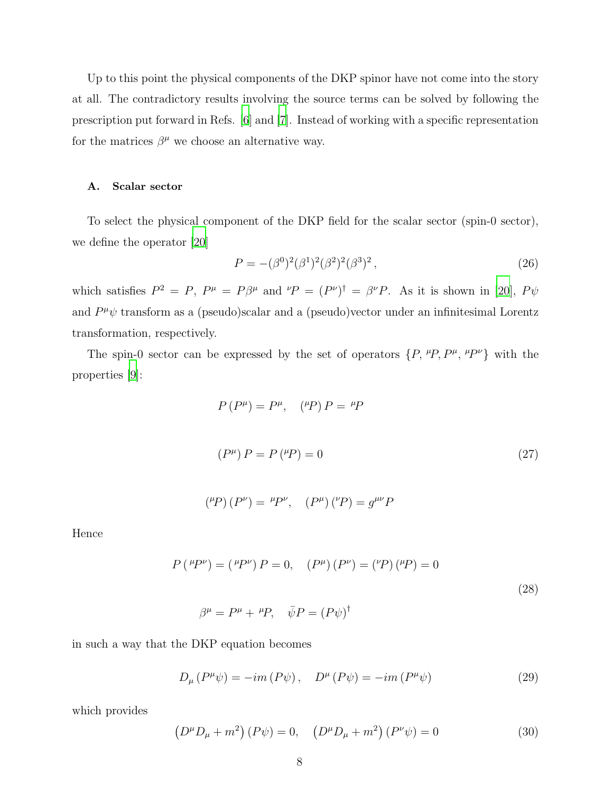Up to this point the physical components of the DKP spinor have not come into the story at all. The contradictory results involving the source terms can be solved by following the prescription put forward in Refs. [\[6\]](#page-12-5) and [\[7](#page-12-6)]. Instead of working with a specific representation for the matrices  $\beta^{\mu}$  we choose an alternative way.

# A. Scalar sector

To select the physical component of the DKP field for the scalar sector (spin-0 sector), we define the operator [\[20](#page-12-18)]

$$
P = -(\beta^0)^2 (\beta^1)^2 (\beta^2)^2 (\beta^3)^2 , \qquad (26)
$$

which satisfies  $P^2 = P$ ,  $P^{\mu} = P\beta^{\mu}$  and  ${}^{\nu}P = (P^{\nu})^{\dagger} = \beta^{\nu}P$ . As it is shown in [\[20](#page-12-18)],  $P\psi$ and  $P^{\mu}\psi$  transform as a (pseudo)scalar and a (pseudo)vector under an infinitesimal Lorentz transformation, respectively.

The spin-0 sector can be expressed by the set of operators  $\{P, \,^{\mu}P, P^{\mu}, \,^{\mu}P^{\nu}\}\,$  with the properties [\[9](#page-12-8)]:

$$
P(P^{\mu}) = P^{\mu}, \quad {^{\mu}P} P = {^{\mu}P}
$$
  

$$
(P^{\mu}) P = P({^{\mu}P}) = 0
$$
 (27)

$$
(^{\mu}P)(P^{\nu}) = {^{\mu}P^{\nu}}, \quad (P^{\mu})(^{\nu}P) = g^{\mu\nu}P
$$

Hence

$$
P(\,^{\mu}P^{\nu}) = (\,^{\mu}P^{\nu})\,P = 0, \quad (P^{\mu})\,(P^{\nu}) = (\,^{\nu}P)\,(^{\mu}P) = 0
$$
\n
$$
\beta^{\mu} = P^{\mu} + \,^{\mu}P, \quad \bar{\psi}P = (P\psi)^{\dagger}
$$
\n(28)

in such a way that the DKP equation becomes

$$
D_{\mu}(P^{\mu}\psi) = -im(P\psi), \quad D^{\mu}(P\psi) = -im(P^{\mu}\psi)
$$
\n(29)

which provides

$$
(D^{\mu}D_{\mu} + m^{2}) (P\psi) = 0, \quad (D^{\mu}D_{\mu} + m^{2}) (P^{\nu}\psi) = 0
$$
 (30)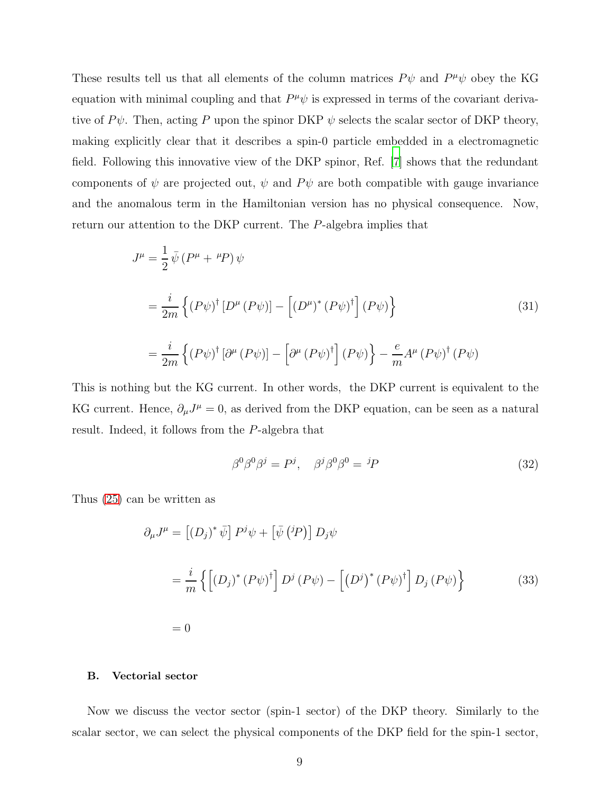These results tell us that all elements of the column matrices  $P\psi$  and  $P^{\mu}\psi$  obey the KG equation with minimal coupling and that  $P^{\mu}\psi$  is expressed in terms of the covariant derivative of  $P\psi$ . Then, acting P upon the spinor DKP  $\psi$  selects the scalar sector of DKP theory, making explicitly clear that it describes a spin-0 particle embedded in a electromagnetic field. Following this innovative view of the DKP spinor, Ref. [\[7\]](#page-12-6) shows that the redundant components of  $\psi$  are projected out,  $\psi$  and  $P\psi$  are both compatible with gauge invariance and the anomalous term in the Hamiltonian version has no physical consequence. Now, return our attention to the DKP current. The P-algebra implies that

$$
J^{\mu} = \frac{1}{2} \bar{\psi} (P^{\mu} + {}^{\mu}P) \psi
$$
  
= 
$$
\frac{i}{2m} \left\{ (P\psi)^{\dagger} [D^{\mu} (P\psi)] - \left[ (D^{\mu})^* (P\psi)^{\dagger} \right] (P\psi) \right\}
$$
  
= 
$$
\frac{i}{2m} \left\{ (P\psi)^{\dagger} [\partial^{\mu} (P\psi)] - \left[ \partial^{\mu} (P\psi)^{\dagger} \right] (P\psi) \right\} - \frac{e}{m} A^{\mu} (P\psi)^{\dagger} (P\psi)
$$
 (31)

This is nothing but the KG current. In other words, the DKP current is equivalent to the KG current. Hence,  $\partial_{\mu}J^{\mu} = 0$ , as derived from the DKP equation, can be seen as a natural result. Indeed, it follows from the P-algebra that

$$
\beta^0 \beta^0 \beta^j = P^j, \quad \beta^j \beta^0 \beta^0 = {}^jP \tag{32}
$$

Thus [\(25\)](#page-6-2) can be written as

$$
\partial_{\mu}J^{\mu} = \left[ (D_j)^{*} \bar{\psi} \right] P^{j} \psi + \left[ \bar{\psi} ({}^{j}P) \right] D_{j} \psi
$$
  

$$
= \frac{i}{m} \left\{ \left[ (D_j)^{*} (P \psi)^{\dagger} \right] D^{j} (P \psi) - \left[ (D^{j})^{*} (P \psi)^{\dagger} \right] D_{j} (P \psi) \right\}
$$
(33)  

$$
= 0
$$

# B. Vectorial sector

Now we discuss the vector sector (spin-1 sector) of the DKP theory. Similarly to the scalar sector, we can select the physical components of the DKP field for the spin-1 sector,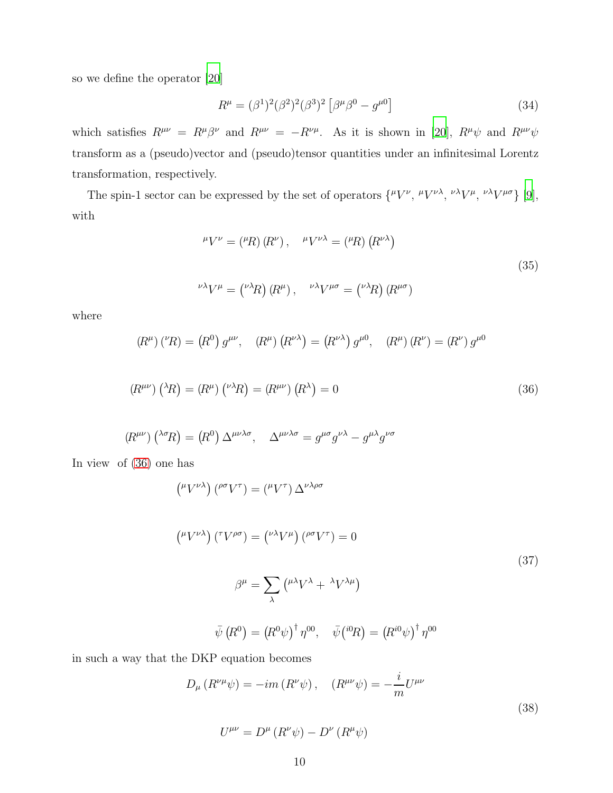so we define the operator [\[20\]](#page-12-18)

$$
R^{\mu} = (\beta^{1})^{2} (\beta^{2})^{2} (\beta^{3})^{2} [\beta^{\mu} \beta^{0} - g^{\mu 0}]
$$
\n(34)

which satisfies  $R^{\mu\nu} = R^{\mu}\beta^{\nu}$  and  $R^{\mu\nu} = -R^{\nu\mu}$ . As it is shown in [\[20\]](#page-12-18),  $R^{\mu}\psi$  and  $R^{\mu\nu}\psi$ transform as a (pseudo)vector and (pseudo)tensor quantities under an infinitesimal Lorentz transformation, respectively.

The spin-1 sector can be expressed by the set of operators  $\{^{\mu}V^{\nu}, \ ^{\mu}V^{\nu\lambda}, \ ^{\nu\lambda}V^{\mu}, \ ^{\nu\lambda}V^{\mu\sigma}\}$  [\[9\]](#page-12-8), with

$$
^{\mu}V^{\nu} = (^{\mu}R) (R^{\nu}), \quad ^{\mu}V^{\nu\lambda} = (^{\mu}R) (R^{\nu\lambda})
$$
  

$$
^{\nu\lambda}V^{\mu} = (^{\nu\lambda}R) (R^{\mu}), \quad ^{\nu\lambda}V^{\mu\sigma} = (^{\nu\lambda}R) (R^{\mu\sigma})
$$
 (35)

where

<span id="page-9-0"></span>
$$
(R^{\mu})({}^{\nu}R) = (R^{0}) g^{\mu\nu}, \quad (R^{\mu}) (R^{\nu\lambda}) = (R^{\nu\lambda}) g^{\mu 0}, \quad (R^{\mu}) (R^{\nu}) = (R^{\nu}) g^{\mu 0}
$$

$$
(R^{\mu\nu})\left(\lambda R\right) = (R^{\mu})\left(\nu\lambda R\right) = (R^{\mu\nu})\left(R^{\lambda}\right) = 0\tag{36}
$$

$$
(R^{\mu\nu})\left( ^{\lambda\sigma}R\right) = (R^0)\,\Delta^{\mu\nu\lambda\sigma},\quad \Delta^{\mu\nu\lambda\sigma} = g^{\mu\sigma}g^{\nu\lambda} - g^{\mu\lambda}g^{\nu\sigma}
$$

In view of [\(36\)](#page-9-0) one has

$$
\left(^{\mu}V^{\nu\lambda}\right)\left(^{\rho\sigma}V^{\tau}\right) = \left(^{\mu}V^{\tau}\right)\Delta^{\nu\lambda\rho\sigma}
$$
\n
$$
\left(^{\mu}V^{\nu\lambda}\right)\left(^{\tau}V^{\rho\sigma}\right) = \left(^{\nu\lambda}V^{\mu}\right)\left(^{\rho\sigma}V^{\tau}\right) = 0
$$
\n
$$
\beta^{\mu} = \sum_{\lambda}\left(^{\mu\lambda}V^{\lambda} + \lambda V^{\lambda\mu}\right)
$$
\n
$$
\bar{\psi}\left(R^{0}\right) = \left(R^{0}\psi\right)^{\dagger}\eta^{00}, \quad \bar{\psi}\left(^{i0}R\right) = \left(R^{i0}\psi\right)^{\dagger}\eta^{00}
$$
\n(37)

in such a way that the DKP equation becomes

$$
D_{\mu} (R^{\nu \mu} \psi) = -im (R^{\nu} \psi), \quad (R^{\mu \nu} \psi) = -\frac{i}{m} U^{\mu \nu}
$$
  

$$
U^{\mu \nu} = D^{\mu} (R^{\nu} \psi) - D^{\nu} (R^{\mu} \psi)
$$
 (38)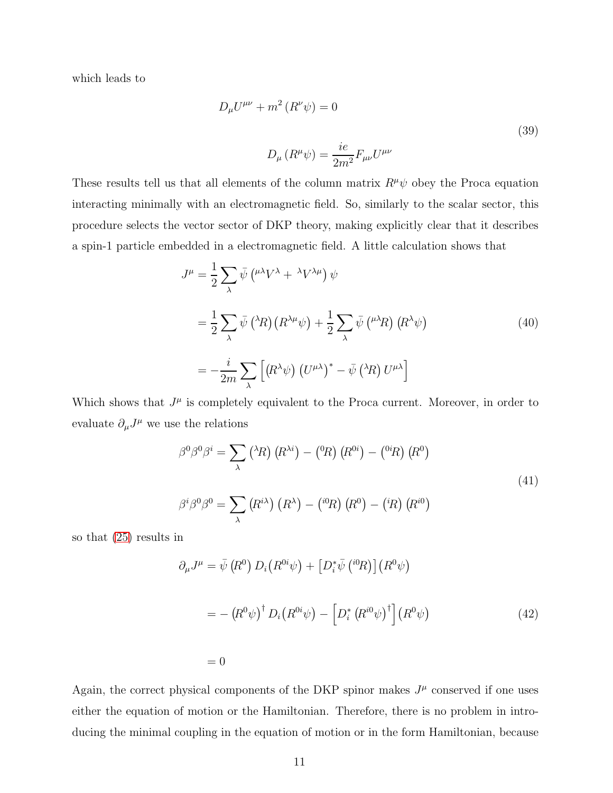which leads to

$$
D_{\mu}U^{\mu\nu} + m^2 (R^{\nu}\psi) = 0
$$
\n
$$
D_{\mu} (R^{\mu}\psi) = \frac{ie}{2m^2} F_{\mu\nu} U^{\mu\nu}
$$
\n(39)

These results tell us that all elements of the column matrix  $R^{\mu}\psi$  obey the Proca equation interacting minimally with an electromagnetic field. So, similarly to the scalar sector, this procedure selects the vector sector of DKP theory, making explicitly clear that it describes a spin-1 particle embedded in a electromagnetic field. A little calculation shows that

$$
J^{\mu} = \frac{1}{2} \sum_{\lambda} \bar{\psi} \left( \mu^{\lambda} V^{\lambda} + \lambda V^{\lambda \mu} \right) \psi
$$
  

$$
= \frac{1}{2} \sum_{\lambda} \bar{\psi} \left( \lambda R \right) \left( R^{\lambda \mu} \psi \right) + \frac{1}{2} \sum_{\lambda} \bar{\psi} \left( \mu^{\lambda} R \right) \left( R^{\lambda} \psi \right)
$$
(40)  

$$
= -\frac{i}{2m} \sum_{\lambda} \left[ \left( R^{\lambda} \psi \right) \left( U^{\mu \lambda} \right)^{*} - \bar{\psi} \left( \lambda R \right) U^{\mu \lambda} \right]
$$

Which shows that  $J^{\mu}$  is completely equivalent to the Proca current. Moreover, in order to evaluate  $\partial_{\mu}J^{\mu}$  we use the relations

$$
\beta^{0}\beta^{0}\beta^{i} = \sum_{\lambda} {^{\lambda}R} \left( {}^{h}\right) (R^{\lambda i}) - {^0R} \left( R^{0i} \right) - {^{0i}R} \left( R^{0} \right)
$$
  

$$
\beta^{i}\beta^{0}\beta^{0} = \sum_{\lambda} (R^{i\lambda}) (R^{\lambda}) - {^{i0}R} \left( R^{0} \right) - {^{iR}} \left( R^{i0} \right)
$$
 (41)

so that [\(25\)](#page-6-2) results in

$$
\partial_{\mu}J^{\mu} = \bar{\psi} \left( R^{0} \right) D_{i} \left( R^{0i} \psi \right) + \left[ D_{i}^{*} \bar{\psi} \left( {}^{i0}R \right) \right] \left( R^{0} \psi \right)
$$

$$
= - \left( R^{0} \psi \right)^{\dagger} D_{i} \left( R^{0i} \psi \right) - \left[ D_{i}^{*} \left( R^{i0} \psi \right)^{\dagger} \right] \left( R^{0} \psi \right) \tag{42}
$$

 $= 0$ 

Again, the correct physical components of the DKP spinor makes  $J^{\mu}$  conserved if one uses either the equation of motion or the Hamiltonian. Therefore, there is no problem in introducing the minimal coupling in the equation of motion or in the form Hamiltonian, because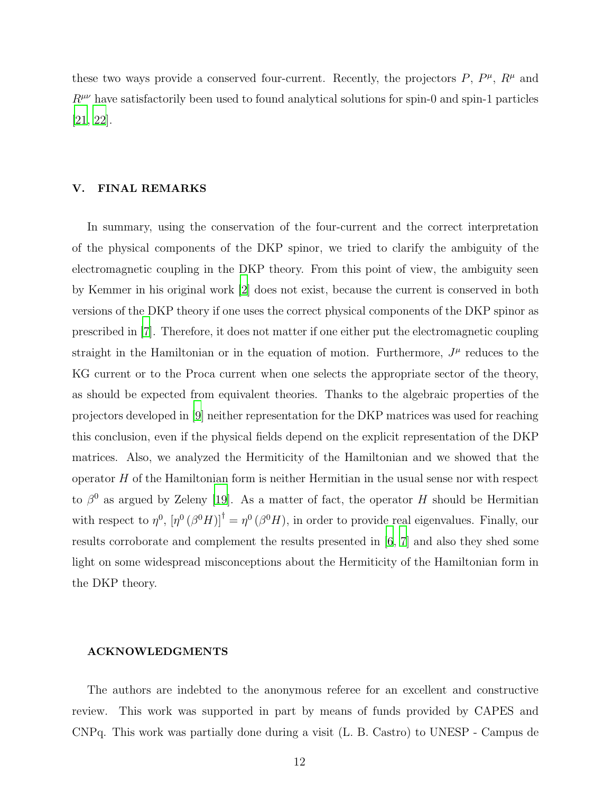these two ways provide a conserved four-current. Recently, the projectors  $P, P^{\mu}, R^{\mu}$  and  $R^{\mu\nu}$  have satisfactorily been used to found analytical solutions for spin-0 and spin-1 particles [\[21,](#page-12-19) [22\]](#page-12-20).

# V. FINAL REMARKS

In summary, using the conservation of the four-current and the correct interpretation of the physical components of the DKP spinor, we tried to clarify the ambiguity of the electromagnetic coupling in the DKP theory. From this point of view, the ambiguity seen by Kemmer in his original work [\[2](#page-12-1)] does not exist, because the current is conserved in both versions of the DKP theory if one uses the correct physical components of the DKP spinor as prescribed in [\[7](#page-12-6)]. Therefore, it does not matter if one either put the electromagnetic coupling straight in the Hamiltonian or in the equation of motion. Furthermore,  $J^{\mu}$  reduces to the KG current or to the Proca current when one selects the appropriate sector of the theory, as should be expected from equivalent theories. Thanks to the algebraic properties of the projectors developed in [\[9\]](#page-12-8) neither representation for the DKP matrices was used for reaching this conclusion, even if the physical fields depend on the explicit representation of the DKP matrices. Also, we analyzed the Hermiticity of the Hamiltonian and we showed that the operator H of the Hamiltonian form is neither Hermitian in the usual sense nor with respect to  $\beta^0$  as argued by Zeleny [\[19\]](#page-12-17). As a matter of fact, the operator H should be Hermitian with respect to  $\eta^0$ ,  $[\eta^0(\beta^0 H)]^{\dagger} = \eta^0(\beta^0 H)$ , in order to provide real eigenvalues. Finally, our results corroborate and complement the results presented in [\[6,](#page-12-5) [7](#page-12-6)] and also they shed some light on some widespread misconceptions about the Hermiticity of the Hamiltonian form in the DKP theory.

# ACKNOWLEDGMENTS

The authors are indebted to the anonymous referee for an excellent and constructive review. This work was supported in part by means of funds provided by CAPES and CNPq. This work was partially done during a visit (L. B. Castro) to UNESP - Campus de